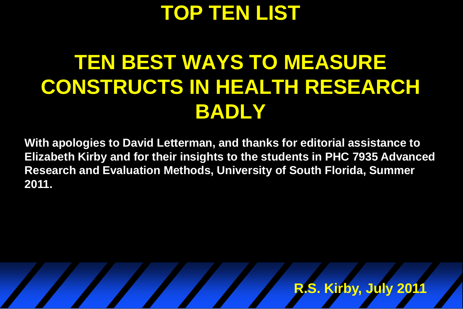### **TOP TEN LIST**

# **TEN BEST WAYS TO MEASURE CONSTRUCTS IN HEALTH RESEARCH BADLY**

**With apologies to David Letterman, and thanks for editorial assistance to Elizabeth Kirby and for their insights to the students in PHC 7935 Advanced Research and Evaluation Methods, University of South Florida, Summer 2011.** 

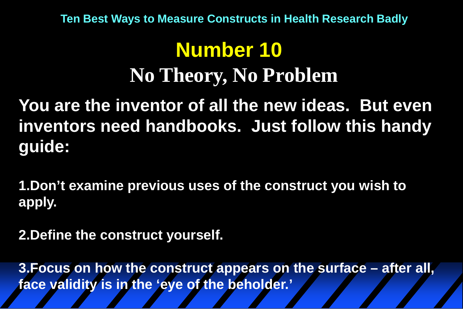## **Number 10 No Theory, No Problem**

**You are the inventor of all the new ideas. But even inventors need handbooks. Just follow this handy guide:**

**1.Don't examine previous uses of the construct you wish to apply.** 

**2.Define the construct yourself.**

**3.Focus on how the construct appears on the surface – after all, face validity is in the 'eye of the beholder.'**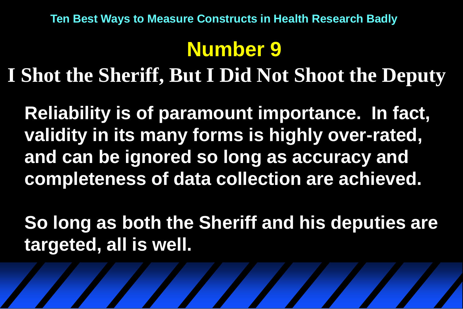### **Number 9**

**I Shot the Sheriff, But I Did Not Shoot the Deputy**

**Reliability is of paramount importance. In fact, validity in its many forms is highly over-rated, and can be ignored so long as accuracy and completeness of data collection are achieved.**

**So long as both the Sheriff and his deputies are targeted, all is well.**

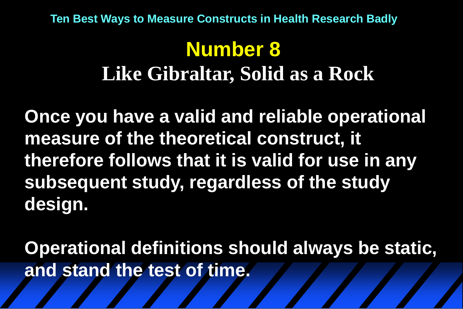# **Number 8**

#### **Like Gibraltar, Solid as a Rock**

**Once you have a valid and reliable operational measure of the theoretical construct, it therefore follows that it is valid for use in any subsequent study, regardless of the study design.**

**Operational definitions should always be static, and stand the test of time.**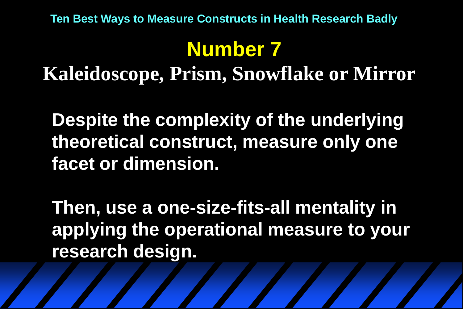# **Number 7**

**Kaleidoscope, Prism, Snowflake or Mirror**

**Despite the complexity of the underlying theoretical construct, measure only one facet or dimension.**

**Then, use a one-size-fits-all mentality in applying the operational measure to your research design.**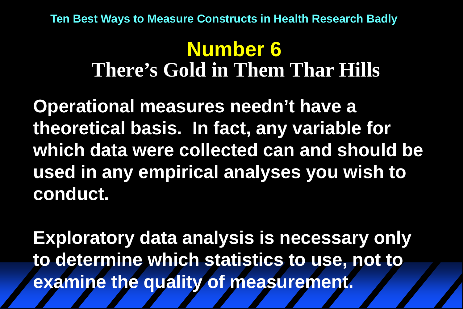#### **Number 6 There's Gold in Them Thar Hills**

**Operational measures needn't have a theoretical basis. In fact, any variable for which data were collected can and should be used in any empirical analyses you wish to conduct.**

**Exploratory data analysis is necessary only to determine which statistics to use, not to examine the quality of measurement.**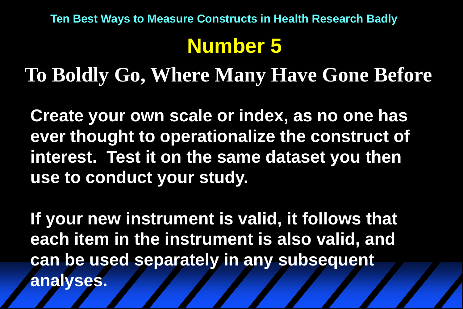### **Number 5**

**To Boldly Go, Where Many Have Gone Before**

**Create your own scale or index, as no one has ever thought to operationalize the construct of interest. Test it on the same dataset you then use to conduct your study.**

**If your new instrument is valid, it follows that each item in the instrument is also valid, and can be used separately in any subsequent analyses.**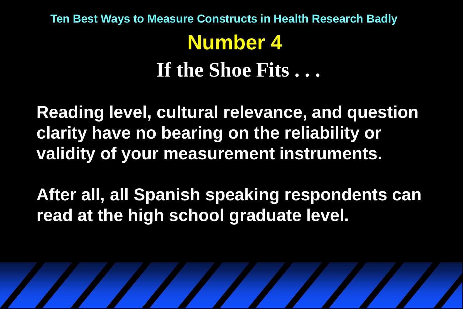### **Number 4 If the Shoe Fits . . . Ten Best Ways to Measure Constructs in Health Research Badly**

**Reading level, cultural relevance, and question clarity have no bearing on the reliability or validity of your measurement instruments.** 

**After all, all Spanish speaking respondents can read at the high school graduate level.**

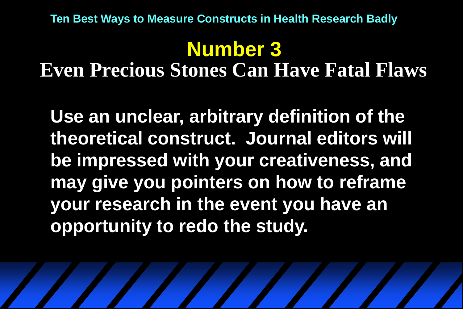# **Number 3**

**Even Precious Stones Can Have Fatal Flaws**

**Use an unclear, arbitrary definition of the theoretical construct. Journal editors will be impressed with your creativeness, and may give you pointers on how to reframe your research in the event you have an opportunity to redo the study.**

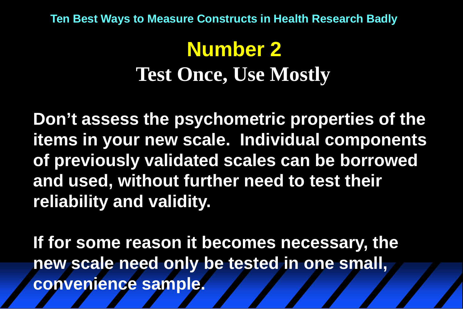# **Number 2 Test Once, Use Mostly**

**Don't assess the psychometric properties of the items in your new scale. Individual components of previously validated scales can be borrowed and used, without further need to test their reliability and validity.**

**If for some reason it becomes necessary, the new scale need only be tested in one small, convenience sample.**